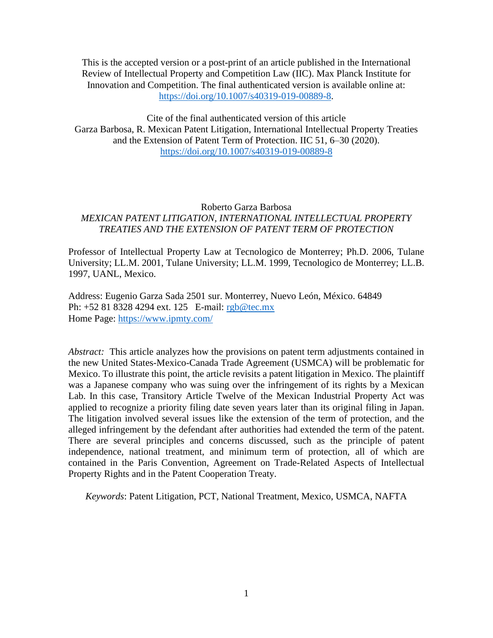This is the accepted version or a post-print of an article published in the International Review of Intellectual Property and Competition Law (IIC). Max Planck Institute for Innovation and Competition. The final authenticated version is available online at: [https://doi.org/10.1007/s40319-019-00889-8.](https://doi.org/10.1007/s40319-019-00889-8)

Cite of the final authenticated version of this article Garza Barbosa, R. Mexican Patent Litigation, International Intellectual Property Treaties and the Extension of Patent Term of Protection. IIC 51, 6–30 (2020). <https://doi.org/10.1007/s40319-019-00889-8>

# Roberto Garza Barbosa *MEXICAN PATENT LITIGATION, INTERNATIONAL INTELLECTUAL PROPERTY TREATIES AND THE EXTENSION OF PATENT TERM OF PROTECTION*

Professor of Intellectual Property Law at Tecnologico de Monterrey; Ph.D. 2006, Tulane University; LL.M. 2001, Tulane University; LL.M. 1999, Tecnologico de Monterrey; LL.B. 1997, UANL, Mexico.

Address: Eugenio Garza Sada 2501 sur. Monterrey, Nuevo León, México. 64849 Ph: +52 81 8328 4294 ext. 125 E-mail: [rgb@tec.mx](mailto:rgb@tec.mx) Home Page:<https://www.ipmty.com/>

*Abstract:* This article analyzes how the provisions on patent term adjustments contained in the new United States-Mexico-Canada Trade Agreement (USMCA) will be problematic for Mexico. To illustrate this point, the article revisits a patent litigation in Mexico. The plaintiff was a Japanese company who was suing over the infringement of its rights by a Mexican Lab. In this case, Transitory Article Twelve of the Mexican Industrial Property Act was applied to recognize a priority filing date seven years later than its original filing in Japan. The litigation involved several issues like the extension of the term of protection, and the alleged infringement by the defendant after authorities had extended the term of the patent. There are several principles and concerns discussed, such as the principle of patent independence, national treatment, and minimum term of protection, all of which are contained in the Paris Convention, Agreement on Trade-Related Aspects of Intellectual Property Rights and in the Patent Cooperation Treaty.

*Keywords*: Patent Litigation, PCT, National Treatment, Mexico, USMCA, NAFTA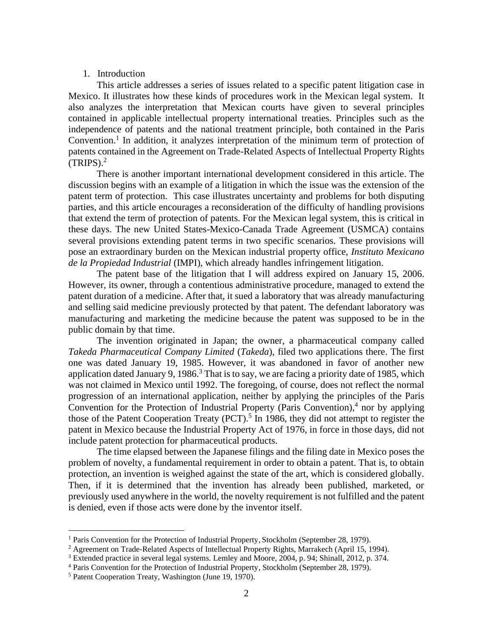# 1. Introduction

This article addresses a series of issues related to a specific patent litigation case in Mexico. It illustrates how these kinds of procedures work in the Mexican legal system. It also analyzes the interpretation that Mexican courts have given to several principles contained in applicable intellectual property international treaties. Principles such as the independence of patents and the national treatment principle, both contained in the Paris Convention.<sup>1</sup> In addition, it analyzes interpretation of the minimum term of protection of patents contained in the Agreement on Trade-Related Aspects of Intellectual Property Rights  $(TRIPS).<sup>2</sup>$ 

There is another important international development considered in this article. The discussion begins with an example of a litigation in which the issue was the extension of the patent term of protection. This case illustrates uncertainty and problems for both disputing parties, and this article encourages a reconsideration of the difficulty of handling provisions that extend the term of protection of patents. For the Mexican legal system, this is critical in these days. The new United States-Mexico-Canada Trade Agreement (USMCA) contains several provisions extending patent terms in two specific scenarios. These provisions will pose an extraordinary burden on the Mexican industrial property office, *Instituto Mexicano de la Propiedad Industrial* (IMPI), which already handles infringement litigation.

The patent base of the litigation that I will address expired on January 15, 2006. However, its owner, through a contentious administrative procedure, managed to extend the patent duration of a medicine. After that, it sued a laboratory that was already manufacturing and selling said medicine previously protected by that patent. The defendant laboratory was manufacturing and marketing the medicine because the patent was supposed to be in the public domain by that time.

The invention originated in Japan; the owner, a pharmaceutical company called *Takeda Pharmaceutical Company Limited* (*Takeda*), filed two applications there. The first one was dated January 19, 1985. However, it was abandoned in favor of another new application dated January 9, 1986. $3$  That is to say, we are facing a priority date of 1985, which was not claimed in Mexico until 1992. The foregoing, of course, does not reflect the normal progression of an international application, neither by applying the principles of the Paris Convention for the Protection of Industrial Property (Paris Convention),<sup>4</sup> nor by applying those of the Patent Cooperation Treaty  $(PCT)$ .<sup>5</sup> In 1986, they did not attempt to register the patent in Mexico because the Industrial Property Act of 1976, in force in those days, did not include patent protection for pharmaceutical products.

The time elapsed between the Japanese filings and the filing date in Mexico poses the problem of novelty, a fundamental requirement in order to obtain a patent. That is, to obtain protection, an invention is weighed against the state of the art, which is considered globally. Then, if it is determined that the invention has already been published, marketed, or previously used anywhere in the world, the novelty requirement is not fulfilled and the patent is denied, even if those acts were done by the inventor itself.

<sup>&</sup>lt;sup>1</sup> Paris Convention for the Protection of Industrial Property, Stockholm (September 28, 1979).

<sup>&</sup>lt;sup>2</sup> Agreement on Trade-Related Aspects of Intellectual Property Rights, Marrakech (April 15, 1994).

<sup>&</sup>lt;sup>3</sup> Extended practice in several legal systems. Lemley and Moore, 2004, p. 94; Shinall, 2012, p. 374.

<sup>4</sup> Paris Convention for the Protection of Industrial Property, Stockholm (September 28, 1979).

<sup>5</sup> Patent Cooperation Treaty, Washington (June 19, 1970).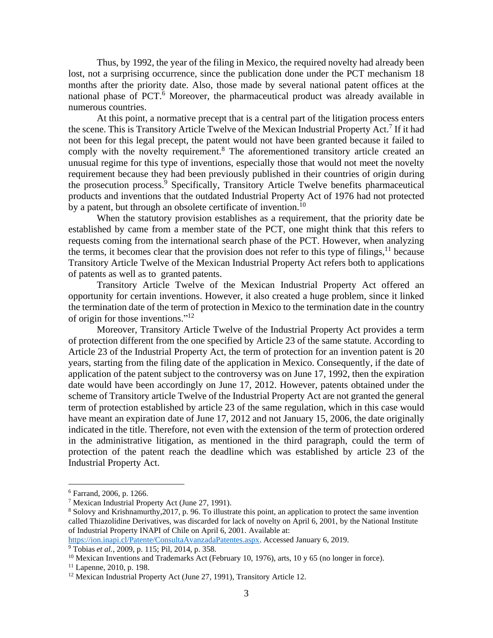Thus, by 1992, the year of the filing in Mexico, the required novelty had already been lost, not a surprising occurrence, since the publication done under the PCT mechanism 18 months after the priority date. Also, those made by several national patent offices at the national phase of PCT.<sup>6</sup> Moreover, the pharmaceutical product was already available in numerous countries.

At this point, a normative precept that is a central part of the litigation process enters the scene. This is Transitory Article Twelve of the Mexican Industrial Property Act.<sup>7</sup> If it had not been for this legal precept, the patent would not have been granted because it failed to comply with the novelty requirement.<sup>8</sup> The aforementioned transitory article created an unusual regime for this type of inventions, especially those that would not meet the novelty requirement because they had been previously published in their countries of origin during the prosecution process. <sup>9</sup> Specifically, Transitory Article Twelve benefits pharmaceutical products and inventions that the outdated Industrial Property Act of 1976 had not protected by a patent, but through an obsolete certificate of invention.<sup>10</sup>

When the statutory provision establishes as a requirement, that the priority date be established by came from a member state of the PCT, one might think that this refers to requests coming from the international search phase of the PCT. However, when analyzing the terms, it becomes clear that the provision does not refer to this type of filings,  $11$  because Transitory Article Twelve of the Mexican Industrial Property Act refers both to applications of patents as well as to granted patents.

Transitory Article Twelve of the Mexican Industrial Property Act offered an opportunity for certain inventions. However, it also created a huge problem, since it linked the termination date of the term of protection in Mexico to the termination date in the country of origin for those inventions."<sup>12</sup>

Moreover, Transitory Article Twelve of the Industrial Property Act provides a term of protection different from the one specified by Article 23 of the same statute. According to Article 23 of the Industrial Property Act, the term of protection for an invention patent is 20 years, starting from the filing date of the application in Mexico. Consequently, if the date of application of the patent subject to the controversy was on June 17, 1992, then the expiration date would have been accordingly on June 17, 2012. However, patents obtained under the scheme of Transitory article Twelve of the Industrial Property Act are not granted the general term of protection established by article 23 of the same regulation, which in this case would have meant an expiration date of June 17, 2012 and not January 15, 2006, the date originally indicated in the title. Therefore, not even with the extension of the term of protection ordered in the administrative litigation, as mentioned in the third paragraph, could the term of protection of the patent reach the deadline which was established by article 23 of the Industrial Property Act.

<sup>6</sup> Farrand, 2006, p. 1266.

<sup>7</sup> Mexican Industrial Property Act (June 27, 1991).

<sup>8</sup> Solovy and Krishnamurthy,2017, p. 96. To illustrate this point, an application to protect the same invention called Thiazolidine Derivatives, was discarded for lack of novelty on April 6, 2001, by the National Institute of Industrial Property INAPI of Chile on April 6, 2001. Available at:

[https://ion.inapi.cl/Patente/ConsultaAvanzadaPatentes.aspx.](https://ion.inapi.cl/Patente/ConsultaAvanzadaPatentes.aspx) Accessed January 6, 2019.

<sup>9</sup> Tobias *et al.*, 2009, p. 115; Pil, 2014, p. 358.

<sup>&</sup>lt;sup>10</sup> Mexican Inventions and Trademarks Act (February 10, 1976), arts, 10 y 65 (no longer in force).

<sup>11</sup> Lapenne, 2010, p. 198.

<sup>&</sup>lt;sup>12</sup> Mexican Industrial Property Act (June 27, 1991), Transitory Article 12.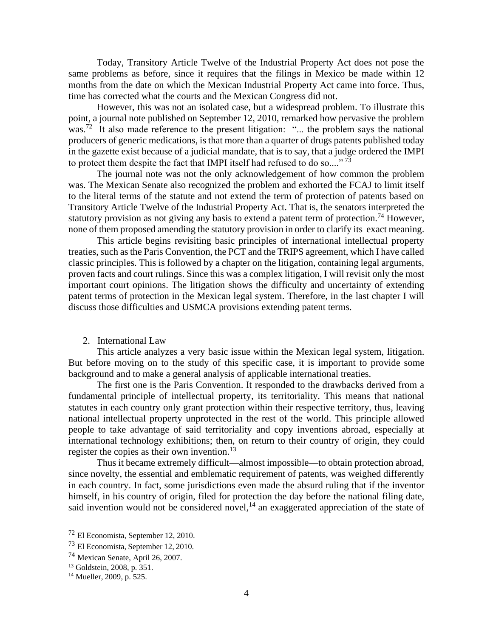Today, Transitory Article Twelve of the Industrial Property Act does not pose the same problems as before, since it requires that the filings in Mexico be made within 12 months from the date on which the Mexican Industrial Property Act came into force. Thus, time has corrected what the courts and the Mexican Congress did not.

However, this was not an isolated case, but a widespread problem. To illustrate this point, a journal note published on September 12, 2010, remarked how pervasive the problem was.<sup>72</sup> It also made reference to the present litigation: "... the problem says the national producers of generic medications, is that more than a quarter of drugs patents published today in the gazette exist because of a judicial mandate, that is to say, that a judge ordered the IMPI to protect them despite the fact that IMPI itself had refused to do so...."<sup>73</sup>

The journal note was not the only acknowledgement of how common the problem was. The Mexican Senate also recognized the problem and exhorted the FCAJ to limit itself to the literal terms of the statute and not extend the term of protection of patents based on Transitory Article Twelve of the Industrial Property Act. That is, the senators interpreted the statutory provision as not giving any basis to extend a patent term of protection.<sup>74</sup> However, none of them proposed amending the statutory provision in order to clarify its exact meaning.

This article begins revisiting basic principles of international intellectual property treaties, such as the Paris Convention, the PCT and the TRIPS agreement, which I have called classic principles. This is followed by a chapter on the litigation, containing legal arguments, proven facts and court rulings. Since this was a complex litigation, I will revisit only the most important court opinions. The litigation shows the difficulty and uncertainty of extending patent terms of protection in the Mexican legal system. Therefore, in the last chapter I will discuss those difficulties and USMCA provisions extending patent terms.

# 2. International Law

This article analyzes a very basic issue within the Mexican legal system, litigation. But before moving on to the study of this specific case, it is important to provide some background and to make a general analysis of applicable international treaties.

The first one is the Paris Convention. It responded to the drawbacks derived from a fundamental principle of intellectual property, its territoriality. This means that national statutes in each country only grant protection within their respective territory, thus, leaving national intellectual property unprotected in the rest of the world. This principle allowed people to take advantage of said territoriality and copy inventions abroad, especially at international technology exhibitions; then, on return to their country of origin, they could register the copies as their own invention.<sup>13</sup>

Thus it became extremely difficult—almost impossible—to obtain protection abroad, since novelty, the essential and emblematic requirement of patents, was weighed differently in each country. In fact, some jurisdictions even made the absurd ruling that if the inventor himself, in his country of origin, filed for protection the day before the national filing date, said invention would not be considered novel, $<sup>14</sup>$  an exaggerated appreciation of the state of</sup>

<sup>72</sup> El Economista, September 12, 2010.

<sup>73</sup> El Economista, September 12, 2010.

<sup>74</sup> Mexican Senate, April 26, 2007.

<sup>13</sup> Goldstein, 2008, p. 351.

<sup>14</sup> Mueller, 2009, p. 525.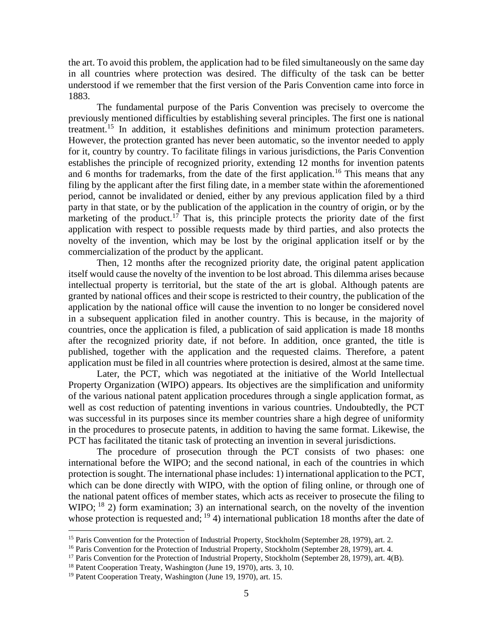the art. To avoid this problem, the application had to be filed simultaneously on the same day in all countries where protection was desired. The difficulty of the task can be better understood if we remember that the first version of the Paris Convention came into force in 1883.

The fundamental purpose of the Paris Convention was precisely to overcome the previously mentioned difficulties by establishing several principles. The first one is national treatment.<sup>15</sup> In addition, it establishes definitions and minimum protection parameters. However, the protection granted has never been automatic, so the inventor needed to apply for it, country by country. To facilitate filings in various jurisdictions, the Paris Convention establishes the principle of recognized priority, extending 12 months for invention patents and 6 months for trademarks, from the date of the first application.<sup>16</sup> This means that any filing by the applicant after the first filing date, in a member state within the aforementioned period, cannot be invalidated or denied, either by any previous application filed by a third party in that state, or by the publication of the application in the country of origin, or by the marketing of the product.<sup>17</sup> That is, this principle protects the priority date of the first application with respect to possible requests made by third parties, and also protects the novelty of the invention, which may be lost by the original application itself or by the commercialization of the product by the applicant.

Then, 12 months after the recognized priority date, the original patent application itself would cause the novelty of the invention to be lost abroad. This dilemma arises because intellectual property is territorial, but the state of the art is global. Although patents are granted by national offices and their scope is restricted to their country, the publication of the application by the national office will cause the invention to no longer be considered novel in a subsequent application filed in another country. This is because, in the majority of countries, once the application is filed, a publication of said application is made 18 months after the recognized priority date, if not before. In addition, once granted, the title is published, together with the application and the requested claims. Therefore, a patent application must be filed in all countries where protection is desired, almost at the same time.

Later, the PCT, which was negotiated at the initiative of the World Intellectual Property Organization (WIPO) appears. Its objectives are the simplification and uniformity of the various national patent application procedures through a single application format, as well as cost reduction of patenting inventions in various countries. Undoubtedly, the PCT was successful in its purposes since its member countries share a high degree of uniformity in the procedures to prosecute patents, in addition to having the same format. Likewise, the PCT has facilitated the titanic task of protecting an invention in several jurisdictions.

The procedure of prosecution through the PCT consists of two phases: one international before the WIPO; and the second national, in each of the countries in which protection is sought. The international phase includes: 1) international application to the PCT, which can be done directly with WIPO, with the option of filing online, or through one of the national patent offices of member states, which acts as receiver to prosecute the filing to WIPO;  $^{18}$  2) form examination; 3) an international search, on the novelty of the invention whose protection is requested and; <sup>19</sup> 4) international publication 18 months after the date of

<sup>&</sup>lt;sup>15</sup> Paris Convention for the Protection of Industrial Property, Stockholm (September 28, 1979), art. 2.

<sup>&</sup>lt;sup>16</sup> Paris Convention for the Protection of Industrial Property, Stockholm (September 28, 1979), art. 4.

<sup>&</sup>lt;sup>17</sup> Paris Convention for the Protection of Industrial Property, Stockholm (September 28, 1979), art. 4(B).

<sup>&</sup>lt;sup>18</sup> Patent Cooperation Treaty, Washington (June 19, 1970), arts. 3, 10.

<sup>19</sup> Patent Cooperation Treaty, Washington (June 19, 1970), art. 15.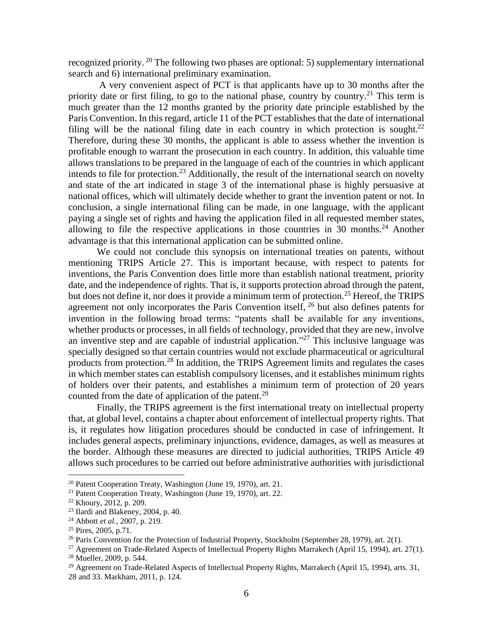recognized priority. <sup>20</sup> The following two phases are optional: 5) supplementary international search and 6) international preliminary examination.

A very convenient aspect of PCT is that applicants have up to 30 months after the priority date or first filing, to go to the national phase, country by country.<sup>21</sup> This term is much greater than the 12 months granted by the priority date principle established by the Paris Convention. In this regard, article 11 of the PCT establishes that the date of international filing will be the national filing date in each country in which protection is sought.<sup>22</sup> Therefore, during these 30 months, the applicant is able to assess whether the invention is profitable enough to warrant the prosecution in each country. In addition, this valuable time allows translations to be prepared in the language of each of the countries in which applicant intends to file for protection.<sup>23</sup> Additionally, the result of the international search on novelty and state of the art indicated in stage 3 of the international phase is highly persuasive at national offices, which will ultimately decide whether to grant the invention patent or not. In conclusion, a single international filing can be made, in one language, with the applicant paying a single set of rights and having the application filed in all requested member states, allowing to file the respective applications in those countries in 30 months.<sup>24</sup> Another advantage is that this international application can be submitted online.

We could not conclude this synopsis on international treaties on patents, without mentioning TRIPS Article 27. This is important because, with respect to patents for inventions, the Paris Convention does little more than establish national treatment, priority date, and the independence of rights. That is, it supports protection abroad through the patent, but does not define it, nor does it provide a minimum term of protection.<sup>25</sup> Hereof, the TRIPS agreement not only incorporates the Paris Convention itself, <sup>26</sup> but also defines patents for invention in the following broad terms: "patents shall be available for any inventions, whether products or processes, in all fields of technology, provided that they are new, involve an inventive step and are capable of industrial application."<sup>27</sup> This inclusive language was specially designed so that certain countries would not exclude pharmaceutical or agricultural products from protection.<sup>28</sup> In addition, the TRIPS Agreement limits and regulates the cases in which member states can establish compulsory licenses, and it establishes minimum rights of holders over their patents, and establishes a minimum term of protection of 20 years counted from the date of application of the patent.<sup>29</sup>

Finally, the TRIPS agreement is the first international treaty on intellectual property that, at global level, contains a chapter about enforcement of intellectual property rights. That is, it regulates how litigation procedures should be conducted in case of infringement. It includes general aspects, preliminary injunctions, evidence, damages, as well as measures at the border. Although these measures are directed to judicial authorities, TRIPS Article 49 allows such procedures to be carried out before administrative authorities with jurisdictional

<sup>20</sup> Patent Cooperation Treaty, Washington (June 19, 1970), art. 21.

<sup>21</sup> Patent Cooperation Treaty, Washington (June 19, 1970), art. 22.

<sup>22</sup> Khoury, 2012, p. 209.

<sup>23</sup> Ilardi and Blakeney, 2004, p. 40.

<sup>24</sup> Abbott *et al.,* 2007, p. 219.

<sup>25</sup> Pires, 2005, p.71.

 $^{26}$  Paris Convention for the Protection of Industrial Property, Stockholm (September 28, 1979), art. 2(1).

<sup>&</sup>lt;sup>27</sup> Agreement on Trade-Related Aspects of Intellectual Property Rights Marrakech (April 15, 1994), art. 27(1). <sup>28</sup> Mueller, 2009, p. 544.

<sup>&</sup>lt;sup>29</sup> Agreement on Trade-Related Aspects of Intellectual Property Rights, Marrakech (April 15, 1994), arts. 31, 28 and 33. Markham, 2011, p. 124.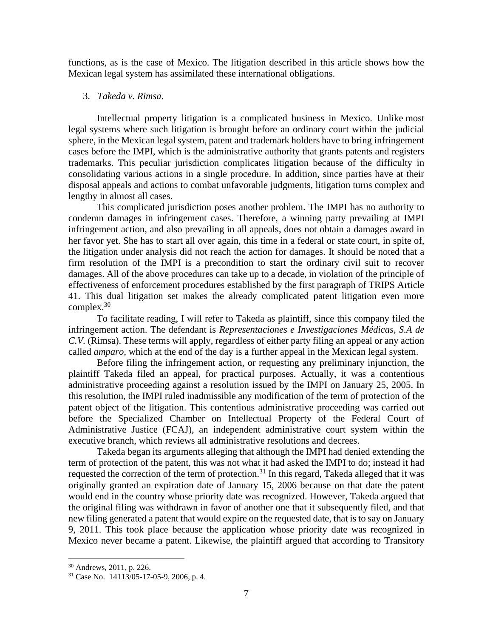functions, as is the case of Mexico. The litigation described in this article shows how the Mexican legal system has assimilated these international obligations.

### 3. *Takeda v. Rimsa*.

Intellectual property litigation is a complicated business in Mexico. Unlike most legal systems where such litigation is brought before an ordinary court within the judicial sphere, in the Mexican legal system, patent and trademark holders have to bring infringement cases before the IMPI, which is the administrative authority that grants patents and registers trademarks. This peculiar jurisdiction complicates litigation because of the difficulty in consolidating various actions in a single procedure. In addition, since parties have at their disposal appeals and actions to combat unfavorable judgments, litigation turns complex and lengthy in almost all cases.

This complicated jurisdiction poses another problem. The IMPI has no authority to condemn damages in infringement cases. Therefore, a winning party prevailing at IMPI infringement action, and also prevailing in all appeals, does not obtain a damages award in her favor yet. She has to start all over again, this time in a federal or state court, in spite of, the litigation under analysis did not reach the action for damages. It should be noted that a firm resolution of the IMPI is a precondition to start the ordinary civil suit to recover damages. All of the above procedures can take up to a decade, in violation of the principle of effectiveness of enforcement procedures established by the first paragraph of TRIPS Article 41. This dual litigation set makes the already complicated patent litigation even more complex.<sup>30</sup>

To facilitate reading, I will refer to Takeda as plaintiff, since this company filed the infringement action. The defendant is *Representaciones e Investigaciones Médicas, S.A de C.V.* (Rimsa). These terms will apply, regardless of either party filing an appeal or any action called *amparo*, which at the end of the day is a further appeal in the Mexican legal system.

Before filing the infringement action, or requesting any preliminary injunction, the plaintiff Takeda filed an appeal, for practical purposes. Actually, it was a contentious administrative proceeding against a resolution issued by the IMPI on January 25, 2005. In this resolution, the IMPI ruled inadmissible any modification of the term of protection of the patent object of the litigation. This contentious administrative proceeding was carried out before the Specialized Chamber on Intellectual Property of the Federal Court of Administrative Justice (FCAJ), an independent administrative court system within the executive branch, which reviews all administrative resolutions and decrees.

Takeda began its arguments alleging that although the IMPI had denied extending the term of protection of the patent, this was not what it had asked the IMPI to do; instead it had requested the correction of the term of protection.<sup>31</sup> In this regard, Takeda alleged that it was originally granted an expiration date of January 15, 2006 because on that date the patent would end in the country whose priority date was recognized. However, Takeda argued that the original filing was withdrawn in favor of another one that it subsequently filed, and that new filing generated a patent that would expire on the requested date, that is to say on January 9, 2011. This took place because the application whose priority date was recognized in Mexico never became a patent. Likewise, the plaintiff argued that according to Transitory

<sup>30</sup> Andrews, 2011, p. 226.

<sup>31</sup> Case No. 14113/05-17-05-9, 2006, p. 4.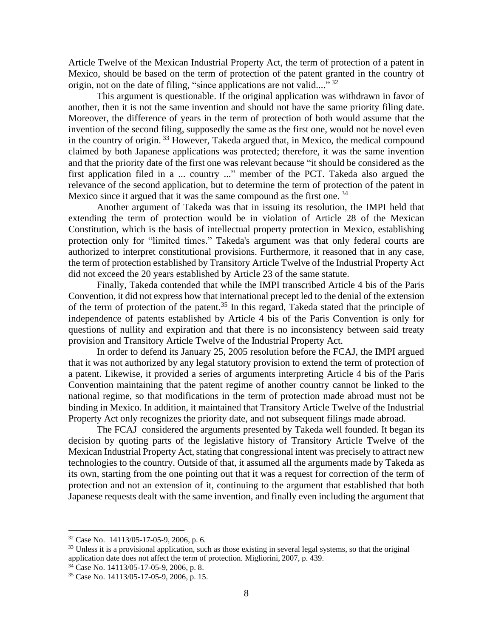Article Twelve of the Mexican Industrial Property Act, the term of protection of a patent in Mexico, should be based on the term of protection of the patent granted in the country of origin, not on the date of filing, "since applications are not valid...."<sup>32</sup>

This argument is questionable. If the original application was withdrawn in favor of another, then it is not the same invention and should not have the same priority filing date. Moreover, the difference of years in the term of protection of both would assume that the invention of the second filing, supposedly the same as the first one, would not be novel even in the country of origin. <sup>33</sup> However, Takeda argued that, in Mexico, the medical compound claimed by both Japanese applications was protected; therefore, it was the same invention and that the priority date of the first one was relevant because "it should be considered as the first application filed in a ... country ..." member of the PCT. Takeda also argued the relevance of the second application, but to determine the term of protection of the patent in Mexico since it argued that it was the same compound as the first one.<sup>34</sup>

Another argument of Takeda was that in issuing its resolution, the IMPI held that extending the term of protection would be in violation of Article 28 of the Mexican Constitution, which is the basis of intellectual property protection in Mexico, establishing protection only for "limited times." Takeda's argument was that only federal courts are authorized to interpret constitutional provisions. Furthermore, it reasoned that in any case, the term of protection established by Transitory Article Twelve of the Industrial Property Act did not exceed the 20 years established by Article 23 of the same statute.

Finally, Takeda contended that while the IMPI transcribed Article 4 bis of the Paris Convention, it did not express how that international precept led to the denial of the extension of the term of protection of the patent.<sup>35</sup> In this regard, Takeda stated that the principle of independence of patents established by Article 4 bis of the Paris Convention is only for questions of nullity and expiration and that there is no inconsistency between said treaty provision and Transitory Article Twelve of the Industrial Property Act.

In order to defend its January 25, 2005 resolution before the FCAJ, the IMPI argued that it was not authorized by any legal statutory provision to extend the term of protection of a patent. Likewise, it provided a series of arguments interpreting Article 4 bis of the Paris Convention maintaining that the patent regime of another country cannot be linked to the national regime, so that modifications in the term of protection made abroad must not be binding in Mexico. In addition, it maintained that Transitory Article Twelve of the Industrial Property Act only recognizes the priority date, and not subsequent filings made abroad.

The FCAJ considered the arguments presented by Takeda well founded. It began its decision by quoting parts of the legislative history of Transitory Article Twelve of the Mexican Industrial Property Act, stating that congressional intent was precisely to attract new technologies to the country. Outside of that, it assumed all the arguments made by Takeda as its own, starting from the one pointing out that it was a request for correction of the term of protection and not an extension of it, continuing to the argument that established that both Japanese requests dealt with the same invention, and finally even including the argument that

<sup>32</sup> Case No. 14113/05-17-05-9, 2006, p. 6.

<sup>&</sup>lt;sup>33</sup> Unless it is a provisional application, such as those existing in several legal systems, so that the original application date does not affect the term of protection. Migliorini, 2007, p. 439.

 $3\overline{4}$  Case No. 14113/05-17-05-9, 2006, p. 8.

<sup>35</sup> Case No. 14113/05-17-05-9, 2006, p. 15.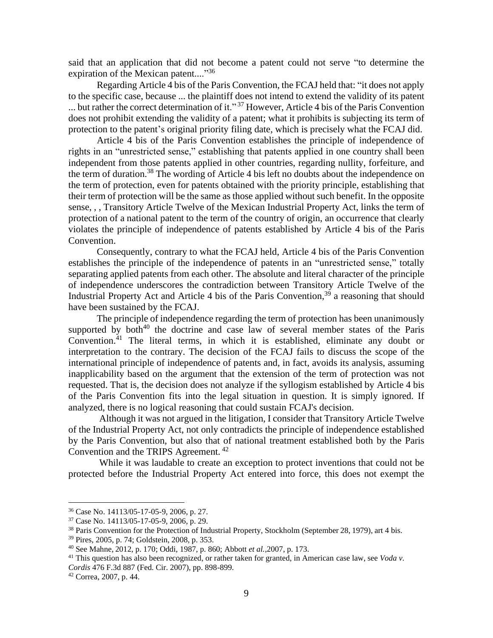said that an application that did not become a patent could not serve "to determine the expiration of the Mexican patent...."<sup>36</sup>

Regarding Article 4 bis of the Paris Convention, the FCAJ held that: "it does not apply to the specific case, because ... the plaintiff does not intend to extend the validity of its patent ... but rather the correct determination of it."<sup>37</sup> However, Article 4 bis of the Paris Convention does not prohibit extending the validity of a patent; what it prohibits is subjecting its term of protection to the patent's original priority filing date, which is precisely what the FCAJ did.

Article 4 bis of the Paris Convention establishes the principle of independence of rights in an "unrestricted sense," establishing that patents applied in one country shall been independent from those patents applied in other countries, regarding nullity, forfeiture, and the term of duration.<sup>38</sup> The wording of Article 4 bis left no doubts about the independence on the term of protection, even for patents obtained with the priority principle, establishing that their term of protection will be the same as those applied without such benefit. In the opposite sense, , , Transitory Article Twelve of the Mexican Industrial Property Act, links the term of protection of a national patent to the term of the country of origin, an occurrence that clearly violates the principle of independence of patents established by Article 4 bis of the Paris Convention.

Consequently, contrary to what the FCAJ held, Article 4 bis of the Paris Convention establishes the principle of the independence of patents in an "unrestricted sense," totally separating applied patents from each other. The absolute and literal character of the principle of independence underscores the contradiction between Transitory Article Twelve of the Industrial Property Act and Article 4 bis of the Paris Convention,<sup>39</sup> a reasoning that should have been sustained by the FCAJ.

The principle of independence regarding the term of protection has been unanimously supported by both $40$  the doctrine and case law of several member states of the Paris Convention.<sup>41</sup> The literal terms, in which it is established, eliminate any doubt or interpretation to the contrary. The decision of the FCAJ fails to discuss the scope of the international principle of independence of patents and, in fact, avoids its analysis, assuming inapplicability based on the argument that the extension of the term of protection was not requested. That is, the decision does not analyze if the syllogism established by Article 4 bis of the Paris Convention fits into the legal situation in question. It is simply ignored. If analyzed, there is no logical reasoning that could sustain FCAJ's decision.

Although it was not argued in the litigation, I consider that Transitory Article Twelve of the Industrial Property Act, not only contradicts the principle of independence established by the Paris Convention, but also that of national treatment established both by the Paris Convention and the TRIPS Agreement. <sup>42</sup>

While it was laudable to create an exception to protect inventions that could not be protected before the Industrial Property Act entered into force, this does not exempt the

<sup>36</sup> Case No. 14113/05-17-05-9, 2006, p. 27.

<sup>37</sup> Case No. 14113/05-17-05-9, 2006, p. 29.

<sup>&</sup>lt;sup>38</sup> Paris Convention for the Protection of Industrial Property, Stockholm (September 28, 1979), art 4 bis.

<sup>39</sup> Pires, 2005, p. 74; Goldstein, 2008, p. 353.

<sup>40</sup> See Mahne, 2012, p. 170; Oddi, 1987, p. 860; Abbott *et al.,*2007, p. 173.

<sup>&</sup>lt;sup>41</sup> This question has also been recognized, or rather taken for granted, in American case law, see *Voda v*. *Cordis* 476 F.3d 887 (Fed. Cir. 2007), pp. 898-899.

<sup>42</sup> Correa, 2007, p. 44.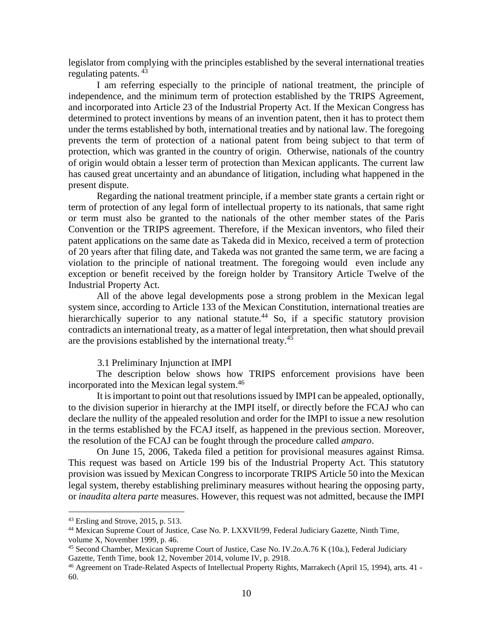legislator from complying with the principles established by the several international treaties regulating patents. <sup>43</sup>

I am referring especially to the principle of national treatment, the principle of independence, and the minimum term of protection established by the TRIPS Agreement, and incorporated into Article 23 of the Industrial Property Act. If the Mexican Congress has determined to protect inventions by means of an invention patent, then it has to protect them under the terms established by both, international treaties and by national law. The foregoing prevents the term of protection of a national patent from being subject to that term of protection, which was granted in the country of origin. Otherwise, nationals of the country of origin would obtain a lesser term of protection than Mexican applicants. The current law has caused great uncertainty and an abundance of litigation, including what happened in the present dispute.

Regarding the national treatment principle, if a member state grants a certain right or term of protection of any legal form of intellectual property to its nationals, that same right or term must also be granted to the nationals of the other member states of the Paris Convention or the TRIPS agreement. Therefore, if the Mexican inventors, who filed their patent applications on the same date as Takeda did in Mexico, received a term of protection of 20 years after that filing date, and Takeda was not granted the same term, we are facing a violation to the principle of national treatment. The foregoing would even include any exception or benefit received by the foreign holder by Transitory Article Twelve of the Industrial Property Act.

All of the above legal developments pose a strong problem in the Mexican legal system since, according to Article 133 of the Mexican Constitution, international treaties are hierarchically superior to any national statute.<sup>44</sup> So, if a specific statutory provision contradicts an international treaty, as a matter of legal interpretation, then what should prevail are the provisions established by the international treaty.<sup>45</sup>

### 3.1 Preliminary Injunction at IMPI

The description below shows how TRIPS enforcement provisions have been incorporated into the Mexican legal system.<sup>46</sup>

It is important to point out that resolutions issued by IMPI can be appealed, optionally, to the division superior in hierarchy at the IMPI itself, or directly before the FCAJ who can declare the nullity of the appealed resolution and order for the IMPI to issue a new resolution in the terms established by the FCAJ itself, as happened in the previous section. Moreover, the resolution of the FCAJ can be fought through the procedure called *amparo*.

On June 15, 2006, Takeda filed a petition for provisional measures against Rimsa. This request was based on Article 199 bis of the Industrial Property Act. This statutory provision was issued by Mexican Congress to incorporate TRIPS Article 50 into the Mexican legal system, thereby establishing preliminary measures without hearing the opposing party, or *inaudita altera parte* measures. However, this request was not admitted, because the IMPI

<sup>43</sup> Ersling and Strove, 2015, p. 513.

<sup>44</sup> Mexican Supreme Court of Justice, Case No. P. LXXVII/99, Federal Judiciary Gazette, Ninth Time, volume X, November 1999, p. 46.

<sup>45</sup> Second Chamber, Mexican Supreme Court of Justice, Case No. IV.2o.A.76 K (10a.), Federal Judiciary Gazette, Tenth Time, book 12, November 2014, volume IV, p. 2918.

<sup>46</sup> Agreement on Trade-Related Aspects of Intellectual Property Rights, Marrakech (April 15, 1994), arts. 41 - 60.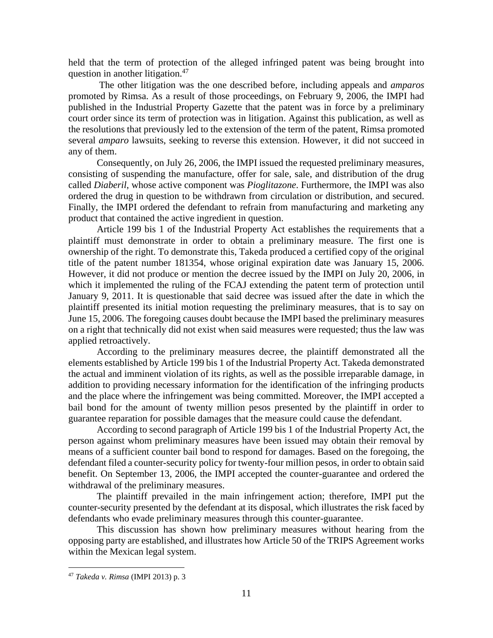held that the term of protection of the alleged infringed patent was being brought into question in another litigation.<sup>47</sup>

The other litigation was the one described before, including appeals and *amparos* promoted by Rimsa. As a result of those proceedings, on February 9, 2006, the IMPI had published in the Industrial Property Gazette that the patent was in force by a preliminary court order since its term of protection was in litigation. Against this publication, as well as the resolutions that previously led to the extension of the term of the patent, Rimsa promoted several *amparo* lawsuits, seeking to reverse this extension. However, it did not succeed in any of them.

Consequently, on July 26, 2006, the IMPI issued the requested preliminary measures, consisting of suspending the manufacture, offer for sale, sale, and distribution of the drug called *Diaberil*, whose active component was *Pioglitazone*. Furthermore, the IMPI was also ordered the drug in question to be withdrawn from circulation or distribution, and secured. Finally, the IMPI ordered the defendant to refrain from manufacturing and marketing any product that contained the active ingredient in question.

Article 199 bis 1 of the Industrial Property Act establishes the requirements that a plaintiff must demonstrate in order to obtain a preliminary measure. The first one is ownership of the right. To demonstrate this, Takeda produced a certified copy of the original title of the patent number 181354, whose original expiration date was January 15, 2006. However, it did not produce or mention the decree issued by the IMPI on July 20, 2006, in which it implemented the ruling of the FCAJ extending the patent term of protection until January 9, 2011. It is questionable that said decree was issued after the date in which the plaintiff presented its initial motion requesting the preliminary measures, that is to say on June 15, 2006. The foregoing causes doubt because the IMPI based the preliminary measures on a right that technically did not exist when said measures were requested; thus the law was applied retroactively.

According to the preliminary measures decree, the plaintiff demonstrated all the elements established by Article 199 bis 1 of the Industrial Property Act. Takeda demonstrated the actual and imminent violation of its rights, as well as the possible irreparable damage, in addition to providing necessary information for the identification of the infringing products and the place where the infringement was being committed. Moreover, the IMPI accepted a bail bond for the amount of twenty million pesos presented by the plaintiff in order to guarantee reparation for possible damages that the measure could cause the defendant.

According to second paragraph of Article 199 bis 1 of the Industrial Property Act, the person against whom preliminary measures have been issued may obtain their removal by means of a sufficient counter bail bond to respond for damages. Based on the foregoing, the defendant filed a counter-security policy for twenty-four million pesos, in order to obtain said benefit. On September 13, 2006, the IMPI accepted the counter-guarantee and ordered the withdrawal of the preliminary measures.

The plaintiff prevailed in the main infringement action; therefore, IMPI put the counter-security presented by the defendant at its disposal, which illustrates the risk faced by defendants who evade preliminary measures through this counter-guarantee.

This discussion has shown how preliminary measures without hearing from the opposing party are established, and illustrates how Article 50 of the TRIPS Agreement works within the Mexican legal system.

<sup>47</sup> *Takeda v. Rimsa* (IMPI 2013) p. 3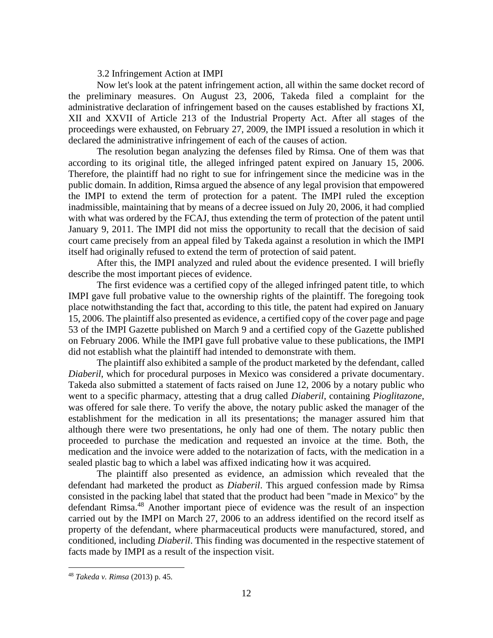### 3.2 Infringement Action at IMPI

Now let's look at the patent infringement action, all within the same docket record of the preliminary measures. On August 23, 2006, Takeda filed a complaint for the administrative declaration of infringement based on the causes established by fractions XI, XII and XXVII of Article 213 of the Industrial Property Act. After all stages of the proceedings were exhausted, on February 27, 2009, the IMPI issued a resolution in which it declared the administrative infringement of each of the causes of action.

The resolution began analyzing the defenses filed by Rimsa. One of them was that according to its original title, the alleged infringed patent expired on January 15, 2006. Therefore, the plaintiff had no right to sue for infringement since the medicine was in the public domain. In addition, Rimsa argued the absence of any legal provision that empowered the IMPI to extend the term of protection for a patent. The IMPI ruled the exception inadmissible, maintaining that by means of a decree issued on July 20, 2006, it had complied with what was ordered by the FCAJ, thus extending the term of protection of the patent until January 9, 2011. The IMPI did not miss the opportunity to recall that the decision of said court came precisely from an appeal filed by Takeda against a resolution in which the IMPI itself had originally refused to extend the term of protection of said patent.

After this, the IMPI analyzed and ruled about the evidence presented. I will briefly describe the most important pieces of evidence.

The first evidence was a certified copy of the alleged infringed patent title, to which IMPI gave full probative value to the ownership rights of the plaintiff. The foregoing took place notwithstanding the fact that, according to this title, the patent had expired on January 15, 2006. The plaintiff also presented as evidence, a certified copy of the cover page and page 53 of the IMPI Gazette published on March 9 and a certified copy of the Gazette published on February 2006. While the IMPI gave full probative value to these publications, the IMPI did not establish what the plaintiff had intended to demonstrate with them.

The plaintiff also exhibited a sample of the product marketed by the defendant, called *Diaberil*, which for procedural purposes in Mexico was considered a private documentary. Takeda also submitted a statement of facts raised on June 12, 2006 by a notary public who went to a specific pharmacy, attesting that a drug called *Diaberil*, containing *Pioglitazone,* was offered for sale there. To verify the above, the notary public asked the manager of the establishment for the medication in all its presentations; the manager assured him that although there were two presentations, he only had one of them. The notary public then proceeded to purchase the medication and requested an invoice at the time. Both, the medication and the invoice were added to the notarization of facts, with the medication in a sealed plastic bag to which a label was affixed indicating how it was acquired.

The plaintiff also presented as evidence, an admission which revealed that the defendant had marketed the product as *Diaberil*. This argued confession made by Rimsa consisted in the packing label that stated that the product had been "made in Mexico" by the defendant Rimsa. <sup>48</sup> Another important piece of evidence was the result of an inspection carried out by the IMPI on March 27, 2006 to an address identified on the record itself as property of the defendant, where pharmaceutical products were manufactured, stored, and conditioned, including *Diaberil*. This finding was documented in the respective statement of facts made by IMPI as a result of the inspection visit.

<sup>48</sup> *Takeda v. Rimsa* (2013) p. 45.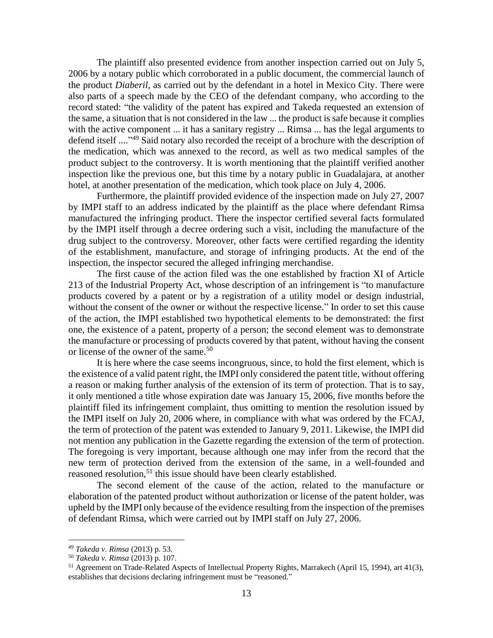The plaintiff also presented evidence from another inspection carried out on July 5, 2006 by a notary public which corroborated in a public document, the commercial launch of the product *Diaberil*, as carried out by the defendant in a hotel in Mexico City. There were also parts of a speech made by the CEO of the defendant company, who according to the record stated: "the validity of the patent has expired and Takeda requested an extension of the same, a situation that is not considered in the law ... the product is safe because it complies with the active component ... it has a sanitary registry ... Rimsa ... has the legal arguments to defend itself ...."<sup>49</sup> Said notary also recorded the receipt of a brochure with the description of the medication, which was annexed to the record, as well as two medical samples of the product subject to the controversy. It is worth mentioning that the plaintiff verified another inspection like the previous one, but this time by a notary public in Guadalajara, at another hotel, at another presentation of the medication, which took place on July 4, 2006.

Furthermore, the plaintiff provided evidence of the inspection made on July 27, 2007 by IMPI staff to an address indicated by the plaintiff as the place where defendant Rimsa manufactured the infringing product. There the inspector certified several facts formulated by the IMPI itself through a decree ordering such a visit, including the manufacture of the drug subject to the controversy. Moreover, other facts were certified regarding the identity of the establishment, manufacture, and storage of infringing products. At the end of the inspection, the inspector secured the alleged infringing merchandise.

The first cause of the action filed was the one established by fraction XI of Article 213 of the Industrial Property Act, whose description of an infringement is "to manufacture products covered by a patent or by a registration of a utility model or design industrial, without the consent of the owner or without the respective license." In order to set this cause of the action, the IMPI established two hypothetical elements to be demonstrated: the first one, the existence of a patent, property of a person; the second element was to demonstrate the manufacture or processing of products covered by that patent, without having the consent or license of the owner of the same.<sup>50</sup>

It is here where the case seems incongruous, since, to hold the first element, which is the existence of a valid patent right, the IMPI only considered the patent title, without offering a reason or making further analysis of the extension of its term of protection. That is to say, it only mentioned a title whose expiration date was January 15, 2006, five months before the plaintiff filed its infringement complaint, thus omitting to mention the resolution issued by the IMPI itself on July 20, 2006 where, in compliance with what was ordered by the FCAJ, the term of protection of the patent was extended to January 9, 2011. Likewise, the IMPI did not mention any publication in the Gazette regarding the extension of the term of protection. The foregoing is very important, because although one may infer from the record that the new term of protection derived from the extension of the same, in a well-founded and reasoned resolution,<sup>51</sup> this issue should have been clearly established.

The second element of the cause of the action, related to the manufacture or elaboration of the patented product without authorization or license of the patent holder, was upheld by the IMPI only because of the evidence resulting from the inspection of the premises of defendant Rimsa, which were carried out by IMPI staff on July 27, 2006.

<sup>49</sup> *Takeda v. Rimsa* (2013) p. 53.

<sup>50</sup> *Takeda v. Rimsa* (2013) p. 107.

<sup>51</sup> Agreement on Trade-Related Aspects of Intellectual Property Rights, Marrakech (April 15, 1994), art 41(3), establishes that decisions declaring infringement must be "reasoned."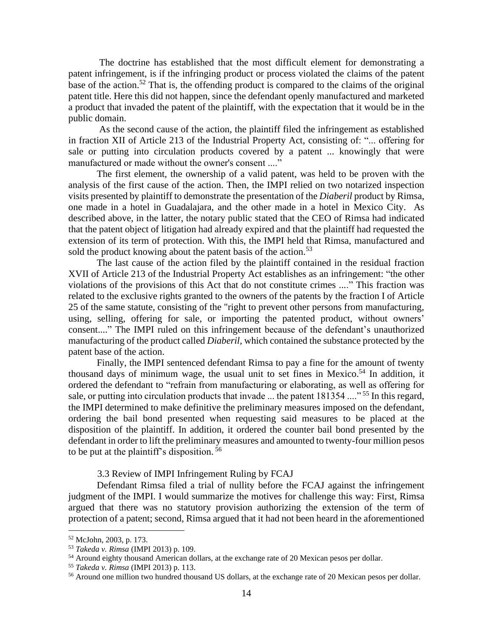The doctrine has established that the most difficult element for demonstrating a patent infringement, is if the infringing product or process violated the claims of the patent base of the action.<sup>52</sup> That is, the offending product is compared to the claims of the original patent title. Here this did not happen, since the defendant openly manufactured and marketed a product that invaded the patent of the plaintiff, with the expectation that it would be in the public domain.

As the second cause of the action, the plaintiff filed the infringement as established in fraction XII of Article 213 of the Industrial Property Act, consisting of: "... offering for sale or putting into circulation products covered by a patent ... knowingly that were manufactured or made without the owner's consent ...."

The first element, the ownership of a valid patent, was held to be proven with the analysis of the first cause of the action. Then, the IMPI relied on two notarized inspection visits presented by plaintiff to demonstrate the presentation of the *Diaberil* product by Rimsa, one made in a hotel in Guadalajara, and the other made in a hotel in Mexico City. As described above, in the latter, the notary public stated that the CEO of Rimsa had indicated that the patent object of litigation had already expired and that the plaintiff had requested the extension of its term of protection. With this, the IMPI held that Rimsa, manufactured and sold the product knowing about the patent basis of the action.<sup>53</sup>

The last cause of the action filed by the plaintiff contained in the residual fraction XVII of Article 213 of the Industrial Property Act establishes as an infringement: "the other violations of the provisions of this Act that do not constitute crimes ...." This fraction was related to the exclusive rights granted to the owners of the patents by the fraction I of Article 25 of the same statute, consisting of the "right to prevent other persons from manufacturing, using, selling, offering for sale, or importing the patented product, without owners' consent...." The IMPI ruled on this infringement because of the defendant's unauthorized manufacturing of the product called *Diaberil*, which contained the substance protected by the patent base of the action.

Finally, the IMPI sentenced defendant Rimsa to pay a fine for the amount of twenty thousand days of minimum wage, the usual unit to set fines in Mexico.<sup>54</sup> In addition, it ordered the defendant to "refrain from manufacturing or elaborating, as well as offering for sale, or putting into circulation products that invade ... the patent 181354 ...."<sup>55</sup> In this regard, the IMPI determined to make definitive the preliminary measures imposed on the defendant, ordering the bail bond presented when requesting said measures to be placed at the disposition of the plaintiff. In addition, it ordered the counter bail bond presented by the defendant in order to lift the preliminary measures and amounted to twenty-four million pesos to be put at the plaintiff's disposition.<sup>56</sup>

3.3 Review of IMPI Infringement Ruling by FCAJ

Defendant Rimsa filed a trial of nullity before the FCAJ against the infringement judgment of the IMPI. I would summarize the motives for challenge this way: First, Rimsa argued that there was no statutory provision authorizing the extension of the term of protection of a patent; second, Rimsa argued that it had not been heard in the aforementioned

<sup>52</sup> McJohn, 2003, p. 173.

<sup>53</sup> *Takeda v. Rimsa* (IMPI 2013) p. 109.

<sup>&</sup>lt;sup>54</sup> Around eighty thousand American dollars, at the exchange rate of 20 Mexican pesos per dollar.

<sup>55</sup> *Takeda v. Rimsa* (IMPI 2013) p. 113.

<sup>&</sup>lt;sup>56</sup> Around one million two hundred thousand US dollars, at the exchange rate of 20 Mexican pesos per dollar.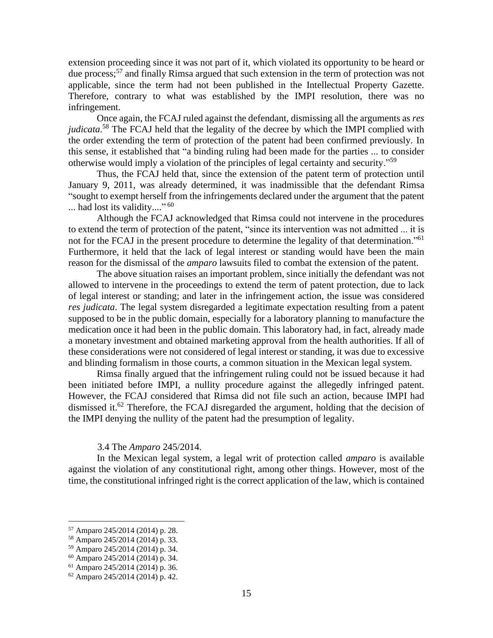extension proceeding since it was not part of it, which violated its opportunity to be heard or due process; <sup>57</sup> and finally Rimsa argued that such extension in the term of protection was not applicable, since the term had not been published in the Intellectual Property Gazette. Therefore, contrary to what was established by the IMPI resolution, there was no infringement.

Once again, the FCAJ ruled against the defendant, dismissing all the arguments as *res judicata*. <sup>58</sup> The FCAJ held that the legality of the decree by which the IMPI complied with the order extending the term of protection of the patent had been confirmed previously. In this sense, it established that "a binding ruling had been made for the parties ... to consider otherwise would imply a violation of the principles of legal certainty and security."<sup>59</sup>

Thus, the FCAJ held that, since the extension of the patent term of protection until January 9, 2011, was already determined, it was inadmissible that the defendant Rimsa "sought to exempt herself from the infringements declared under the argument that the patent ... had lost its validity...."<sup>60</sup>

Although the FCAJ acknowledged that Rimsa could not intervene in the procedures to extend the term of protection of the patent, "since its intervention was not admitted ... it is not for the FCAJ in the present procedure to determine the legality of that determination."<sup>61</sup> Furthermore, it held that the lack of legal interest or standing would have been the main reason for the dismissal of the *amparo* lawsuits filed to combat the extension of the patent.

The above situation raises an important problem, since initially the defendant was not allowed to intervene in the proceedings to extend the term of patent protection, due to lack of legal interest or standing; and later in the infringement action, the issue was considered *res judicata*. The legal system disregarded a legitimate expectation resulting from a patent supposed to be in the public domain, especially for a laboratory planning to manufacture the medication once it had been in the public domain. This laboratory had, in fact, already made a monetary investment and obtained marketing approval from the health authorities. If all of these considerations were not considered of legal interest or standing, it was due to excessive and blinding formalism in those courts, a common situation in the Mexican legal system.

Rimsa finally argued that the infringement ruling could not be issued because it had been initiated before IMPI, a nullity procedure against the allegedly infringed patent. However, the FCAJ considered that Rimsa did not file such an action, because IMPI had dismissed it.<sup>62</sup> Therefore, the FCAJ disregarded the argument, holding that the decision of the IMPI denying the nullity of the patent had the presumption of legality.

#### 3.4 The *Amparo* 245/2014.

In the Mexican legal system, a legal writ of protection called *amparo* is available against the violation of any constitutional right, among other things. However, most of the time, the constitutional infringed right is the correct application of the law, which is contained

<sup>57</sup> Amparo 245/2014 (2014) p. 28.

<sup>58</sup> Amparo 245/2014 (2014) p. 33.

<sup>59</sup> Amparo 245/2014 (2014) p. 34.

<sup>60</sup> Amparo 245/2014 (2014) p. 34.

<sup>61</sup> Amparo 245/2014 (2014) p. 36.

<sup>62</sup> Amparo 245/2014 (2014) p. 42.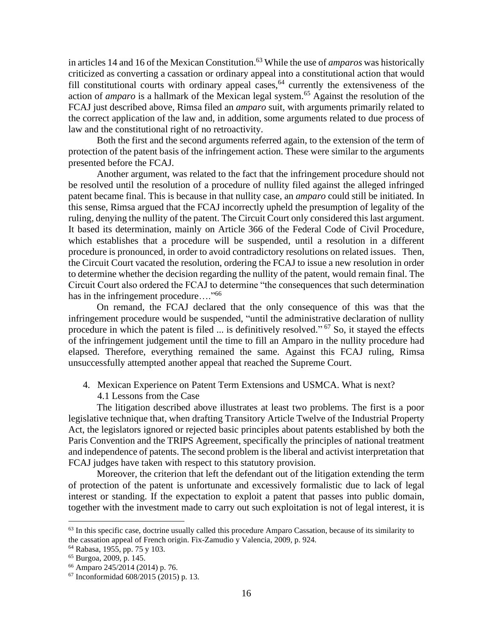in articles 14 and 16 of the Mexican Constitution. <sup>63</sup> While the use of *amparos* was historically criticized as converting a cassation or ordinary appeal into a constitutional action that would fill constitutional courts with ordinary appeal cases,  $64$  currently the extensiveness of the action of *amparo* is a hallmark of the Mexican legal system.<sup>65</sup> Against the resolution of the FCAJ just described above, Rimsa filed an *amparo* suit, with arguments primarily related to the correct application of the law and, in addition, some arguments related to due process of law and the constitutional right of no retroactivity.

Both the first and the second arguments referred again, to the extension of the term of protection of the patent basis of the infringement action. These were similar to the arguments presented before the FCAJ.

Another argument, was related to the fact that the infringement procedure should not be resolved until the resolution of a procedure of nullity filed against the alleged infringed patent became final. This is because in that nullity case, an *amparo* could still be initiated. In this sense, Rimsa argued that the FCAJ incorrectly upheld the presumption of legality of the ruling, denying the nullity of the patent. The Circuit Court only considered this last argument. It based its determination, mainly on Article 366 of the Federal Code of Civil Procedure, which establishes that a procedure will be suspended, until a resolution in a different procedure is pronounced, in order to avoid contradictory resolutions on related issues. Then, the Circuit Court vacated the resolution, ordering the FCAJ to issue a new resolution in order to determine whether the decision regarding the nullity of the patent, would remain final. The Circuit Court also ordered the FCAJ to determine "the consequences that such determination has in the infringement procedure...."<sup>66</sup>

On remand, the FCAJ declared that the only consequence of this was that the infringement procedure would be suspended, "until the administrative declaration of nullity procedure in which the patent is filed ... is definitively resolved."<sup>67</sup> So, it stayed the effects of the infringement judgement until the time to fill an Amparo in the nullity procedure had elapsed. Therefore, everything remained the same. Against this FCAJ ruling, Rimsa unsuccessfully attempted another appeal that reached the Supreme Court.

4. Mexican Experience on Patent Term Extensions and USMCA. What is next? 4.1 Lessons from the Case

The litigation described above illustrates at least two problems. The first is a poor legislative technique that, when drafting Transitory Article Twelve of the Industrial Property Act, the legislators ignored or rejected basic principles about patents established by both the Paris Convention and the TRIPS Agreement, specifically the principles of national treatment and independence of patents. The second problem is the liberal and activist interpretation that FCAJ judges have taken with respect to this statutory provision.

Moreover, the criterion that left the defendant out of the litigation extending the term of protection of the patent is unfortunate and excessively formalistic due to lack of legal interest or standing. If the expectation to exploit a patent that passes into public domain, together with the investment made to carry out such exploitation is not of legal interest, it is

<sup>&</sup>lt;sup>63</sup> In this specific case, doctrine usually called this procedure Amparo Cassation, because of its similarity to the cassation appeal of French origin. Fix-Zamudio y Valencia, 2009, p. 924.

<sup>64</sup> Rabasa, 1955, pp. 75 y 103.

<sup>65</sup> Burgoa, 2009, p. 145.

<sup>66</sup> Amparo 245/2014 (2014) p. 76.

<sup>67</sup> Inconformidad 608/2015 (2015) p. 13.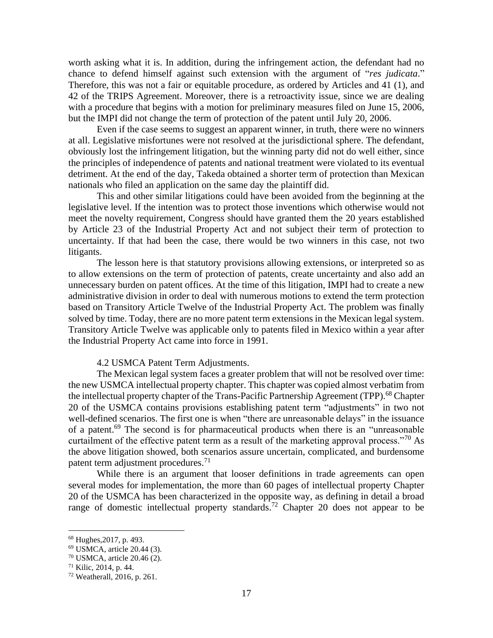worth asking what it is. In addition, during the infringement action, the defendant had no chance to defend himself against such extension with the argument of "*res judicata*." Therefore, this was not a fair or equitable procedure, as ordered by Articles and 41 (1), and 42 of the TRIPS Agreement. Moreover, there is a retroactivity issue, since we are dealing with a procedure that begins with a motion for preliminary measures filed on June 15, 2006, but the IMPI did not change the term of protection of the patent until July 20, 2006.

Even if the case seems to suggest an apparent winner, in truth, there were no winners at all. Legislative misfortunes were not resolved at the jurisdictional sphere. The defendant, obviously lost the infringement litigation, but the winning party did not do well either, since the principles of independence of patents and national treatment were violated to its eventual detriment. At the end of the day, Takeda obtained a shorter term of protection than Mexican nationals who filed an application on the same day the plaintiff did.

This and other similar litigations could have been avoided from the beginning at the legislative level. If the intention was to protect those inventions which otherwise would not meet the novelty requirement, Congress should have granted them the 20 years established by Article 23 of the Industrial Property Act and not subject their term of protection to uncertainty. If that had been the case, there would be two winners in this case, not two litigants.

The lesson here is that statutory provisions allowing extensions, or interpreted so as to allow extensions on the term of protection of patents, create uncertainty and also add an unnecessary burden on patent offices. At the time of this litigation, IMPI had to create a new administrative division in order to deal with numerous motions to extend the term protection based on Transitory Article Twelve of the Industrial Property Act. The problem was finally solved by time. Today, there are no more patent term extensions in the Mexican legal system. Transitory Article Twelve was applicable only to patents filed in Mexico within a year after the Industrial Property Act came into force in 1991.

# 4.2 USMCA Patent Term Adjustments.

The Mexican legal system faces a greater problem that will not be resolved over time: the new USMCA intellectual property chapter. This chapter was copied almost verbatim from the intellectual property chapter of the Trans-Pacific Partnership Agreement (TPP).<sup>68</sup> Chapter 20 of the USMCA contains provisions establishing patent term "adjustments" in two not well-defined scenarios. The first one is when "there are unreasonable delays" in the issuance of a patent.<sup>69</sup> The second is for pharmaceutical products when there is an "unreasonable" curtailment of the effective patent term as a result of the marketing approval process."<sup>70</sup> As the above litigation showed, both scenarios assure uncertain, complicated, and burdensome patent term adjustment procedures.<sup>71</sup>

While there is an argument that looser definitions in trade agreements can open several modes for implementation, the more than 60 pages of intellectual property Chapter 20 of the USMCA has been characterized in the opposite way, as defining in detail a broad range of domestic intellectual property standards.<sup>72</sup> Chapter 20 does not appear to be

<sup>68</sup> Hughes,2017, p. 493.

<sup>69</sup> USMCA, article 20.44 (3).

<sup>70</sup> USMCA, article 20.46 (2).

<sup>71</sup> Kilic, 2014, p. 44.

<sup>72</sup> Weatherall, 2016, p. 261.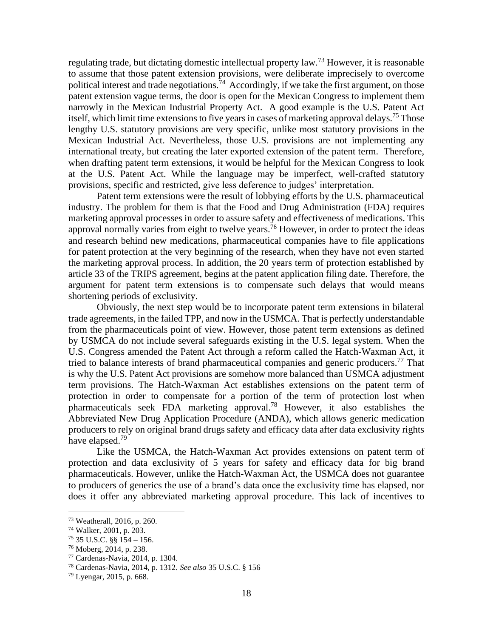regulating trade, but dictating domestic intellectual property law.<sup>73</sup> However, it is reasonable to assume that those patent extension provisions, were deliberate imprecisely to overcome political interest and trade negotiations.<sup>74</sup> Accordingly, if we take the first argument, on those patent extension vague terms, the door is open for the Mexican Congress to implement them narrowly in the Mexican Industrial Property Act. A good example is the U.S. Patent Act itself, which limit time extensions to five years in cases of marketing approval delays.<sup>75</sup> Those lengthy U.S. statutory provisions are very specific, unlike most statutory provisions in the Mexican Industrial Act. Nevertheless, those U.S. provisions are not implementing any international treaty, but creating the later exported extension of the patent term. Therefore, when drafting patent term extensions, it would be helpful for the Mexican Congress to look at the U.S. Patent Act. While the language may be imperfect, well-crafted statutory provisions, specific and restricted, give less deference to judges' interpretation.

Patent term extensions were the result of lobbying efforts by the U.S. pharmaceutical industry. The problem for them is that the Food and Drug Administration (FDA) requires marketing approval processes in order to assure safety and effectiveness of medications. This approval normally varies from eight to twelve years.<sup>76</sup> However, in order to protect the ideas and research behind new medications, pharmaceutical companies have to file applications for patent protection at the very beginning of the research, when they have not even started the marketing approval process. In addition, the 20 years term of protection established by article 33 of the TRIPS agreement, begins at the patent application filing date. Therefore, the argument for patent term extensions is to compensate such delays that would means shortening periods of exclusivity.

Obviously, the next step would be to incorporate patent term extensions in bilateral trade agreements, in the failed TPP, and now in the USMCA. That is perfectly understandable from the pharmaceuticals point of view. However, those patent term extensions as defined by USMCA do not include several safeguards existing in the U.S. legal system. When the U.S. Congress amended the Patent Act through a reform called the Hatch-Waxman Act, it tried to balance interests of brand pharmaceutical companies and generic producers.<sup>77</sup> That is why the U.S. Patent Act provisions are somehow more balanced than USMCA adjustment term provisions. The Hatch-Waxman Act establishes extensions on the patent term of protection in order to compensate for a portion of the term of protection lost when pharmaceuticals seek FDA marketing approval.<sup>78</sup> However, it also establishes the Abbreviated New Drug Application Procedure (ANDA), which allows generic medication producers to rely on original brand drugs safety and efficacy data after data exclusivity rights have elapsed.<sup>79</sup>

Like the USMCA, the Hatch-Waxman Act provides extensions on patent term of protection and data exclusivity of 5 years for safety and efficacy data for big brand pharmaceuticals. However, unlike the Hatch-Waxman Act, the USMCA does not guarantee to producers of generics the use of a brand's data once the exclusivity time has elapsed, nor does it offer any abbreviated marketing approval procedure. This lack of incentives to

<sup>73</sup> Weatherall, 2016, p. 260.

<sup>74</sup> Walker, 2001, p. 203.

 $75$  35 U.S.C. §§  $154 - 156$ .

<sup>76</sup> Moberg, 2014, p. 238.

<sup>77</sup> Cardenas-Navia, 2014, p. 1304.

<sup>78</sup> Cardenas-Navia, 2014, p. 1312. *See also* 35 U.S.C. § 156

<sup>79</sup> Lyengar, 2015, p. 668.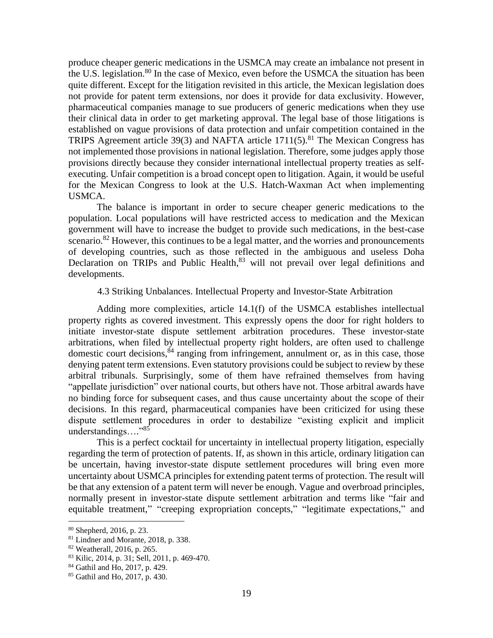produce cheaper generic medications in the USMCA may create an imbalance not present in the U.S. legislation.<sup>80</sup> In the case of Mexico, even before the USMCA the situation has been quite different. Except for the litigation revisited in this article, the Mexican legislation does not provide for patent term extensions, nor does it provide for data exclusivity. However, pharmaceutical companies manage to sue producers of generic medications when they use their clinical data in order to get marketing approval. The legal base of those litigations is established on vague provisions of data protection and unfair competition contained in the TRIPS Agreement article 39(3) and NAFTA article 1711(5).<sup>81</sup> The Mexican Congress has not implemented those provisions in national legislation. Therefore, some judges apply those provisions directly because they consider international intellectual property treaties as selfexecuting. Unfair competition is a broad concept open to litigation. Again, it would be useful for the Mexican Congress to look at the U.S. Hatch-Waxman Act when implementing USMCA.

The balance is important in order to secure cheaper generic medications to the population. Local populations will have restricted access to medication and the Mexican government will have to increase the budget to provide such medications, in the best-case scenario.<sup>82</sup> However, this continues to be a legal matter, and the worries and pronouncements of developing countries, such as those reflected in the ambiguous and useless Doha Declaration on TRIPs and Public Health,<sup>83</sup> will not prevail over legal definitions and developments.

### 4.3 Striking Unbalances. Intellectual Property and Investor-State Arbitration

Adding more complexities, article 14.1(f) of the USMCA establishes intellectual property rights as covered investment. This expressly opens the door for right holders to initiate investor-state dispute settlement arbitration procedures. These investor-state arbitrations, when filed by intellectual property right holders, are often used to challenge domestic court decisions,<sup>84</sup> ranging from infringement, annulment or, as in this case, those denying patent term extensions. Even statutory provisions could be subject to review by these arbitral tribunals. Surprisingly, some of them have refrained themselves from having "appellate jurisdiction" over national courts, but others have not. Those arbitral awards have no binding force for subsequent cases, and thus cause uncertainty about the scope of their decisions. In this regard, pharmaceutical companies have been criticized for using these dispute settlement procedures in order to destabilize "existing explicit and implicit understandings…." 85

This is a perfect cocktail for uncertainty in intellectual property litigation, especially regarding the term of protection of patents. If, as shown in this article, ordinary litigation can be uncertain, having investor-state dispute settlement procedures will bring even more uncertainty about USMCA principles for extending patent terms of protection. The result will be that any extension of a patent term will never be enough. Vague and overbroad principles, normally present in investor-state dispute settlement arbitration and terms like "fair and equitable treatment," "creeping expropriation concepts," "legitimate expectations," and

<sup>80</sup> Shepherd, 2016, p. 23.

<sup>81</sup> Lindner and Morante, 2018, p. 338.

<sup>82</sup> Weatherall, 2016, p. 265.

<sup>83</sup> Kilic, 2014, p. 31; Sell, 2011, p. 469-470.

<sup>84</sup> Gathil and Ho, 2017, p. 429.

<sup>85</sup> Gathil and Ho, 2017, p. 430.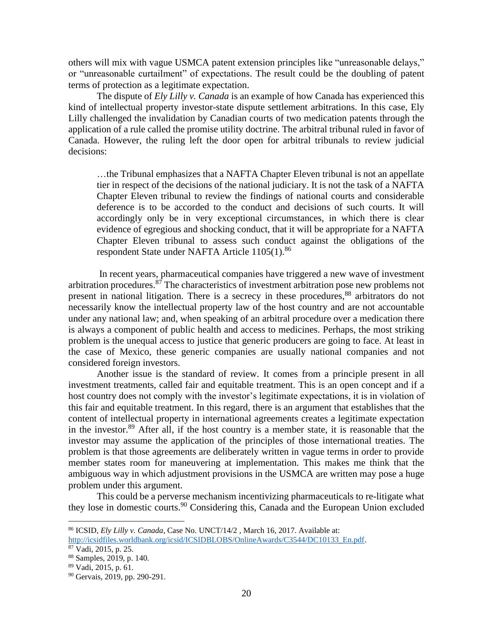others will mix with vague USMCA patent extension principles like "unreasonable delays," or "unreasonable curtailment" of expectations. The result could be the doubling of patent terms of protection as a legitimate expectation.

The dispute of *Ely Lilly v. Canada* is an example of how Canada has experienced this kind of intellectual property investor-state dispute settlement arbitrations. In this case, Ely Lilly challenged the invalidation by Canadian courts of two medication patents through the application of a rule called the promise utility doctrine. The arbitral tribunal ruled in favor of Canada. However, the ruling left the door open for arbitral tribunals to review judicial decisions:

…the Tribunal emphasizes that a NAFTA Chapter Eleven tribunal is not an appellate tier in respect of the decisions of the national judiciary. It is not the task of a NAFTA Chapter Eleven tribunal to review the findings of national courts and considerable deference is to be accorded to the conduct and decisions of such courts. It will accordingly only be in very exceptional circumstances, in which there is clear evidence of egregious and shocking conduct, that it will be appropriate for a NAFTA Chapter Eleven tribunal to assess such conduct against the obligations of the respondent State under NAFTA Article 1105(1).<sup>86</sup>

In recent years, pharmaceutical companies have triggered a new wave of investment arbitration procedures.<sup>87</sup> The characteristics of investment arbitration pose new problems not present in national litigation. There is a secrecy in these procedures,<sup>88</sup> arbitrators do not necessarily know the intellectual property law of the host country and are not accountable under any national law; and, when speaking of an arbitral procedure over a medication there is always a component of public health and access to medicines. Perhaps, the most striking problem is the unequal access to justice that generic producers are going to face. At least in the case of Mexico, these generic companies are usually national companies and not considered foreign investors.

Another issue is the standard of review. It comes from a principle present in all investment treatments, called fair and equitable treatment. This is an open concept and if a host country does not comply with the investor's legitimate expectations, it is in violation of this fair and equitable treatment. In this regard, there is an argument that establishes that the content of intellectual property in international agreements creates a legitimate expectation in the investor. $89$  After all, if the host country is a member state, it is reasonable that the investor may assume the application of the principles of those international treaties. The problem is that those agreements are deliberately written in vague terms in order to provide member states room for maneuvering at implementation. This makes me think that the ambiguous way in which adjustment provisions in the USMCA are written may pose a huge problem under this argument.

This could be a perverse mechanism incentivizing pharmaceuticals to re-litigate what they lose in domestic courts. <sup>90</sup> Considering this, Canada and the European Union excluded

<sup>86</sup> ICSID, *Ely Lilly v. Canada*, Case No. UNCT/14/2 , March 16, 2017. Available at:

[http://icsidfiles.worldbank.org/icsid/ICSIDBLOBS/OnlineAwards/C3544/DC10133\\_En.pdf.](http://icsidfiles.worldbank.org/icsid/ICSIDBLOBS/OnlineAwards/C3544/DC10133_En.pdf)

 $87 \text{ Vadi}, 2015, \text{p}$ . 25.

<sup>88</sup> Samples, 2019, p. 140.

<sup>89</sup> Vadi, 2015, p. 61.

<sup>90</sup> Gervais, 2019, pp. 290-291.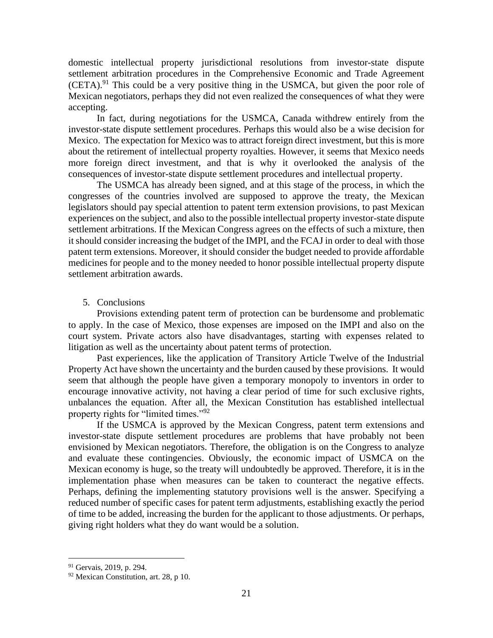domestic intellectual property jurisdictional resolutions from investor-state dispute settlement arbitration procedures in the Comprehensive Economic and Trade Agreement  $(CETA)$ <sup>91</sup>. This could be a very positive thing in the USMCA, but given the poor role of Mexican negotiators, perhaps they did not even realized the consequences of what they were accepting.

In fact, during negotiations for the USMCA, Canada withdrew entirely from the investor-state dispute settlement procedures. Perhaps this would also be a wise decision for Mexico. The expectation for Mexico was to attract foreign direct investment, but this is more about the retirement of intellectual property royalties. However, it seems that Mexico needs more foreign direct investment, and that is why it overlooked the analysis of the consequences of investor-state dispute settlement procedures and intellectual property.

The USMCA has already been signed, and at this stage of the process, in which the congresses of the countries involved are supposed to approve the treaty, the Mexican legislators should pay special attention to patent term extension provisions, to past Mexican experiences on the subject, and also to the possible intellectual property investor-state dispute settlement arbitrations. If the Mexican Congress agrees on the effects of such a mixture, then it should consider increasing the budget of the IMPI, and the FCAJ in order to deal with those patent term extensions. Moreover, it should consider the budget needed to provide affordable medicines for people and to the money needed to honor possible intellectual property dispute settlement arbitration awards.

# 5. Conclusions

Provisions extending patent term of protection can be burdensome and problematic to apply. In the case of Mexico, those expenses are imposed on the IMPI and also on the court system. Private actors also have disadvantages, starting with expenses related to litigation as well as the uncertainty about patent terms of protection.

Past experiences, like the application of Transitory Article Twelve of the Industrial Property Act have shown the uncertainty and the burden caused by these provisions. It would seem that although the people have given a temporary monopoly to inventors in order to encourage innovative activity, not having a clear period of time for such exclusive rights, unbalances the equation. After all, the Mexican Constitution has established intellectual property rights for "limited times."<sup>92</sup>

If the USMCA is approved by the Mexican Congress, patent term extensions and investor-state dispute settlement procedures are problems that have probably not been envisioned by Mexican negotiators. Therefore, the obligation is on the Congress to analyze and evaluate these contingencies. Obviously, the economic impact of USMCA on the Mexican economy is huge, so the treaty will undoubtedly be approved. Therefore, it is in the implementation phase when measures can be taken to counteract the negative effects. Perhaps, defining the implementing statutory provisions well is the answer. Specifying a reduced number of specific cases for patent term adjustments, establishing exactly the period of time to be added, increasing the burden for the applicant to those adjustments. Or perhaps, giving right holders what they do want would be a solution.

<sup>91</sup> Gervais, 2019, p. 294.

<sup>92</sup> Mexican Constitution, art. 28, p 10.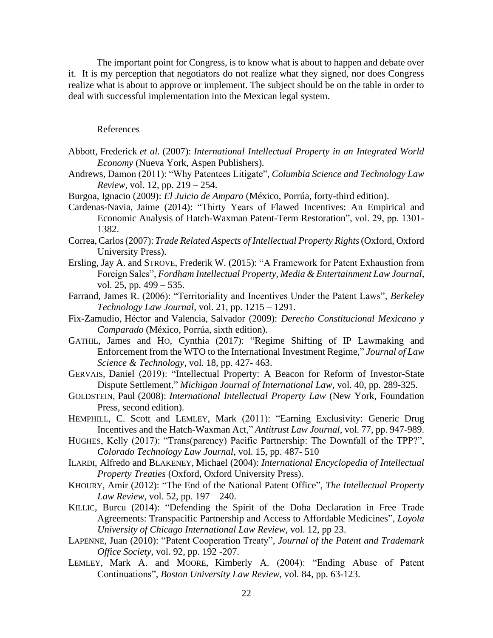The important point for Congress, is to know what is about to happen and debate over it. It is my perception that negotiators do not realize what they signed, nor does Congress realize what is about to approve or implement. The subject should be on the table in order to deal with successful implementation into the Mexican legal system.

#### References

- Abbott, Frederick *et al.* (2007): *International Intellectual Property in an Integrated World Economy* (Nueva York, Aspen Publishers).
- Andrews, Damon (2011): "Why Patentees Litigate", *Columbia Science and Technology Law Review,* vol. 12, pp. 219 – 254.
- Burgoa, Ignacio (2009): *El Juicio de Amparo* (México, Porrúa, forty-third edition).
- Cardenas-Navia, Jaime (2014): "Thirty Years of Flawed Incentives: An Empirical and Economic Analysis of Hatch-Waxman Patent-Term Restoration", vol. 29, pp. 1301- 1382.
- Correa,Carlos(2007): *Trade Related Aspects of Intellectual Property Rights*(Oxford, Oxford University Press).
- Ersling, Jay A. and STROVE, Frederik W. (2015): "A Framework for Patent Exhaustion from Foreign Sales", *Fordham Intellectual Property, Media & Entertainment Law Journal*, vol. 25, pp. 499 – 535.
- Farrand, James R. (2006): "Territoriality and Incentives Under the Patent Laws", *Berkeley Technology Law Journal*, vol. 21, pp. 1215 – 1291.
- Fix-Zamudio, Héctor and Valencia, Salvador (2009): *Derecho Constitucional Mexicano y Comparado* (México, Porrúa, sixth edition).
- GATHIL, James and HO, Cynthia (2017): "Regime Shifting of IP Lawmaking and Enforcement from the WTO to the International Investment Regime," *Journal of Law Science & Technology*, vol. 18, pp. 427- 463.
- GERVAIS, Daniel (2019): "Intellectual Property: A Beacon for Reform of Investor-State Dispute Settlement," *Michigan Journal of International Law*, vol. 40, pp. 289-325.
- GOLDSTEIN, Paul (2008): *International Intellectual Property Law* (New York, Foundation Press, second edition).
- HEMPHILL, C. Scott and LEMLEY, Mark (2011): "Earning Exclusivity: Generic Drug Incentives and the Hatch-Waxman Act," *Antitrust Law Journal*, vol. 77, pp. 947-989.
- HUGHES, Kelly (2017): "Trans(parency) Pacific Partnership: The Downfall of the TPP?", *Colorado Technology Law Journal*, vol. 15, pp. 487- 510
- ILARDI, Alfredo and BLAKENEY, Michael (2004): *International Encyclopedia of Intellectual Property Treaties* (Oxford, Oxford University Press).
- KHOURY, Amir (2012): "The End of the National Patent Office", *The Intellectual Property Law Review*, vol. 52, pp. 197 – 240.
- KILLIC, Burcu (2014): "Defending the Spirit of the Doha Declaration in Free Trade Agreements: Transpacific Partnership and Access to Affordable Medicines", *Loyola University of Chicago International Law Review*, vol. 12, pp 23.
- LAPENNE, Juan (2010): "Patent Cooperation Treaty", *Journal of the Patent and Trademark Office Society*, vol. 92, pp. 192 -207.
- LEMLEY, Mark A. and MOORE, Kimberly A. (2004): "Ending Abuse of Patent Continuations", *Boston University Law Review*, vol. 84, pp. 63-123.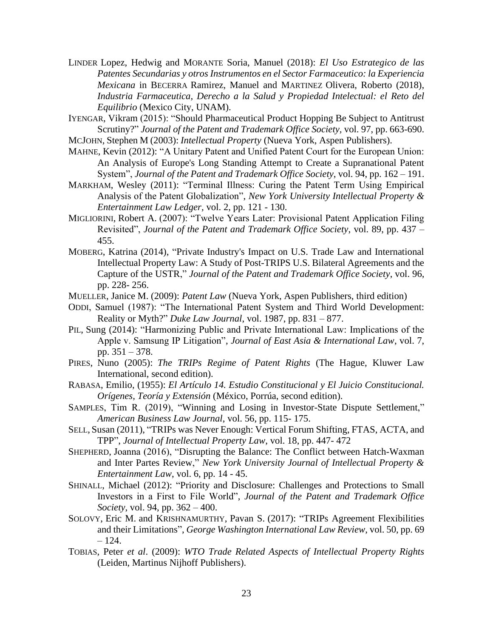- LINDER Lopez, Hedwig and MORANTE Soria, Manuel (2018): *El Uso Estrategico de las Patentes Secundarias y otros Instrumentos en el Sector Farmaceutico: la Experiencia Mexicana* in BECERRA Ramirez, Manuel and MARTINEZ Olivera, Roberto (2018), *Industria Farmaceutica, Derecho a la Salud y Propiedad Intelectual: el Reto del Equilibrio* (Mexico City, UNAM).
- IYENGAR, Vikram (2015): "Should Pharmaceutical Product Hopping Be Subject to Antitrust Scrutiny?" *Journal of the Patent and Trademark Office Society,* vol. 97, pp. 663-690.
- MCJOHN, Stephen M (2003): *Intellectual Property* (Nueva York, Aspen Publishers).
- MAHNE, Kevin (2012): "A Unitary Patent and Unified Patent Court for the European Union: An Analysis of Europe's Long Standing Attempt to Create a Supranational Patent System", *Journal of the Patent and Trademark Office Society*, vol. 94, pp. 162 – 191.
- MARKHAM, Wesley (2011): "Terminal Illness: Curing the Patent Term Using Empirical Analysis of the Patent Globalization", *New York University Intellectual Property & Entertainment Law Ledger,* vol. 2, pp. 121 - 130.
- MIGLIORINI, Robert A. (2007): "Twelve Years Later: Provisional Patent Application Filing Revisited", *Journal of the Patent and Trademark Office Society*, vol. 89, pp. 437 – 455.
- MOBERG, Katrina (2014), "Private Industry's Impact on U.S. Trade Law and International Intellectual Property Law: A Study of Post-TRIPS U.S. Bilateral Agreements and the Capture of the USTR," *Journal of the Patent and Trademark Office Society*, vol. 96, pp. 228- 256.
- MUELLER, Janice M. (2009): *Patent Law* (Nueva York, Aspen Publishers, third edition)
- ODDI, Samuel (1987): "The International Patent System and Third World Development: Reality or Myth?" *Duke Law Journal*, vol. 1987, pp. 831 – 877.
- PIL, Sung (2014): "Harmonizing Public and Private International Law: Implications of the Apple v. Samsung IP Litigation", *Journal of East Asia & International Law*, vol. 7, pp. 351 – 378.
- PIRES, Nuno (2005): *The TRIPs Regime of Patent Rights* (The Hague, Kluwer Law International, second edition).
- RABASA, Emilio, (1955): *El Artículo 14. Estudio Constitucional y El Juicio Constitucional. Orígenes, Teoría y Extensión* (México, Porrúa, second edition).
- SAMPLES, Tim R. (2019), "Winning and Losing in Investor-State Dispute Settlement," *American Business Law Journal*, vol. 56, pp. 115- 175.
- SELL, Susan (2011), "TRIPs was Never Enough: Vertical Forum Shifting, FTAS, ACTA, and TPP", *Journal of Intellectual Property Law*, vol. 18, pp. 447- 472
- SHEPHERD, Joanna (2016), "Disrupting the Balance: The Conflict between Hatch-Waxman and Inter Partes Review," *New York University Journal of Intellectual Property & Entertainment Law*, vol. 6, pp. 14 - 45.
- SHINALL, Michael (2012): "Priority and Disclosure: Challenges and Protections to Small Investors in a First to File World", *Journal of the Patent and Trademark Office Society*, vol. 94, pp. 362 – 400.
- SOLOVY, Eric M. and KRISHNAMURTHY, Pavan S. (2017): "TRIPs Agreement Flexibilities and their Limitations", *George Washington International Law Review*, vol. 50, pp. 69  $-124.$
- TOBIAS, Peter *et al*. (2009): *WTO Trade Related Aspects of Intellectual Property Rights* (Leiden, Martinus Nijhoff Publishers).